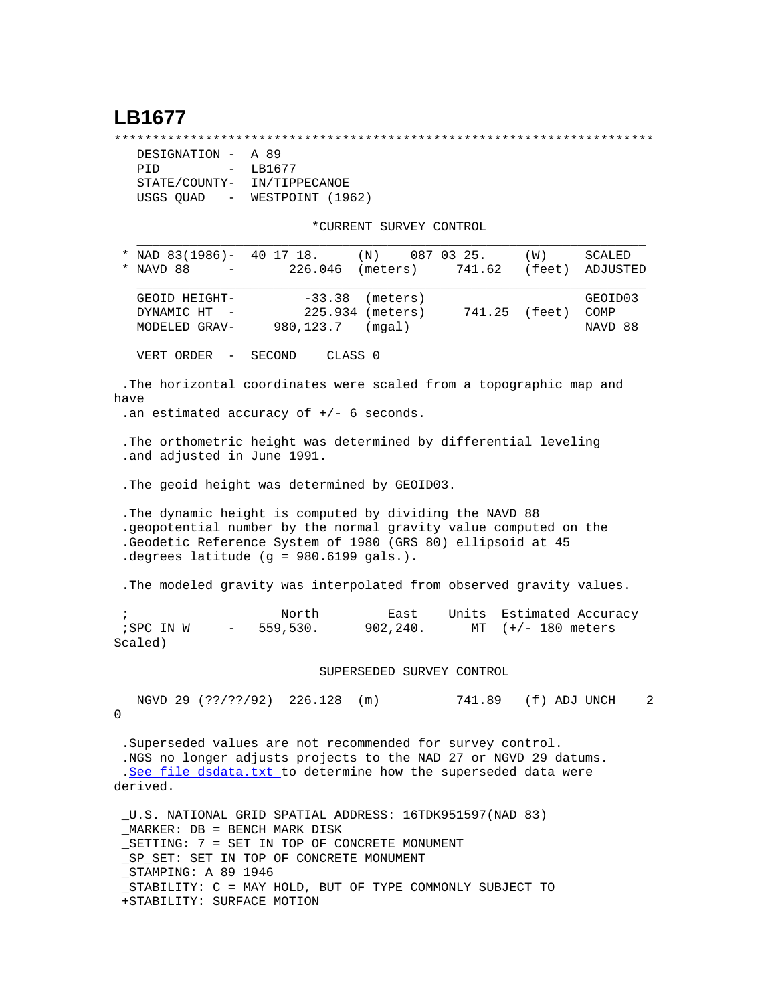## **LB1677**

\*\*\*\*\*\*\*\*\*\*\*\*\*\*\*\*\*\*\*\*\*\*\*\*\*\*\*\*\*\*\*\*\*\*\*\*\*\*\*\*\*\*\*\*\*\*\*\*\*\*\*\*\*\*\*\*\*\*\*\*\*\*\*\*\*\*\*\*\*\*\*

| DESIGNATION -                         | A 89             |  |  |
|---------------------------------------|------------------|--|--|
| PTD<br>$\sim$ $\sim$                  | LB1677           |  |  |
| STATE/COUNTY-                         | IN/TIPPECANOE    |  |  |
| USGS OUAD<br>$\alpha_{\rm{max}}=0.01$ | WESTPOINT (1962) |  |  |

\*CURRENT SURVEY CONTROL

|                                                                  | * NAD 83(1986)- 40 17 18.<br>$(N)$ 087 03 25.<br>(W)<br>SCALED<br>NAVD 88<br>226.046 (meters)<br>741.62<br>(feet)<br>ADJUSTED   |  |  |  |  |  |  |  |  |  |
|------------------------------------------------------------------|---------------------------------------------------------------------------------------------------------------------------------|--|--|--|--|--|--|--|--|--|
|                                                                  |                                                                                                                                 |  |  |  |  |  |  |  |  |  |
|                                                                  | $-33.38$<br>(meters)<br>GEOID03<br>GEOID HEIGHT-                                                                                |  |  |  |  |  |  |  |  |  |
|                                                                  | 225.934 (meters)<br>COMP<br>DYNAMIC HT<br>741.25<br>(feet)<br>980,123.7<br>MODELED GRAV-<br>(mqal)<br>NAVD 88                   |  |  |  |  |  |  |  |  |  |
|                                                                  |                                                                                                                                 |  |  |  |  |  |  |  |  |  |
| VERT ORDER - SECOND<br>CLASS 0                                   |                                                                                                                                 |  |  |  |  |  |  |  |  |  |
|                                                                  | The horizontal coordinates were scaled from a topographic map and                                                               |  |  |  |  |  |  |  |  |  |
| have                                                             |                                                                                                                                 |  |  |  |  |  |  |  |  |  |
| .an estimated accuracy of $+/-$ 6 seconds.                       |                                                                                                                                 |  |  |  |  |  |  |  |  |  |
| . The orthometric height was determined by differential leveling |                                                                                                                                 |  |  |  |  |  |  |  |  |  |
| .and adjusted in June 1991.                                      |                                                                                                                                 |  |  |  |  |  |  |  |  |  |
| . The geoid height was determined by GEOID03.                    |                                                                                                                                 |  |  |  |  |  |  |  |  |  |
|                                                                  |                                                                                                                                 |  |  |  |  |  |  |  |  |  |
|                                                                  | The dynamic height is computed by dividing the NAVD 88                                                                          |  |  |  |  |  |  |  |  |  |
|                                                                  | .geopotential number by the normal gravity value computed on the<br>.Geodetic Reference System of 1980 (GRS 80) ellipsoid at 45 |  |  |  |  |  |  |  |  |  |
|                                                                  | degrees latitude (g = $980.6199$ gals.).                                                                                        |  |  |  |  |  |  |  |  |  |
|                                                                  |                                                                                                                                 |  |  |  |  |  |  |  |  |  |
|                                                                  | . The modeled gravity was interpolated from observed gravity values.                                                            |  |  |  |  |  |  |  |  |  |
| $\ddot{i}$                                                       | Units Estimated Accuracy<br>North<br>East                                                                                       |  |  |  |  |  |  |  |  |  |
|                                                                  | $-559,530.$<br>902,240.<br>(+/- 180 meters<br>; SPC IN W<br>MT<br>Scaled)                                                       |  |  |  |  |  |  |  |  |  |
|                                                                  | SUPERSEDED SURVEY CONTROL                                                                                                       |  |  |  |  |  |  |  |  |  |
|                                                                  |                                                                                                                                 |  |  |  |  |  |  |  |  |  |

 NGVD 29 (??/??/92) 226.128 (m) 741.89 (f) ADJ UNCH 2  $\Omega$ 

 .Superseded values are not recommended for survey control. .NGS no longer adjusts projects to the NAD 27 or NGVD 29 datums. .[See file dsdata.txt](http://www.ngs.noaa.gov/cgi-bin/ds_lookup.prl?Item=HOW_SUP_DET) to determine how the superseded data were derived.

 \_U.S. NATIONAL GRID SPATIAL ADDRESS: 16TDK951597(NAD 83) \_MARKER: DB = BENCH MARK DISK \_SETTING: 7 = SET IN TOP OF CONCRETE MONUMENT \_SP\_SET: SET IN TOP OF CONCRETE MONUMENT \_STAMPING: A 89 1946 \_STABILITY: C = MAY HOLD, BUT OF TYPE COMMONLY SUBJECT TO +STABILITY: SURFACE MOTION